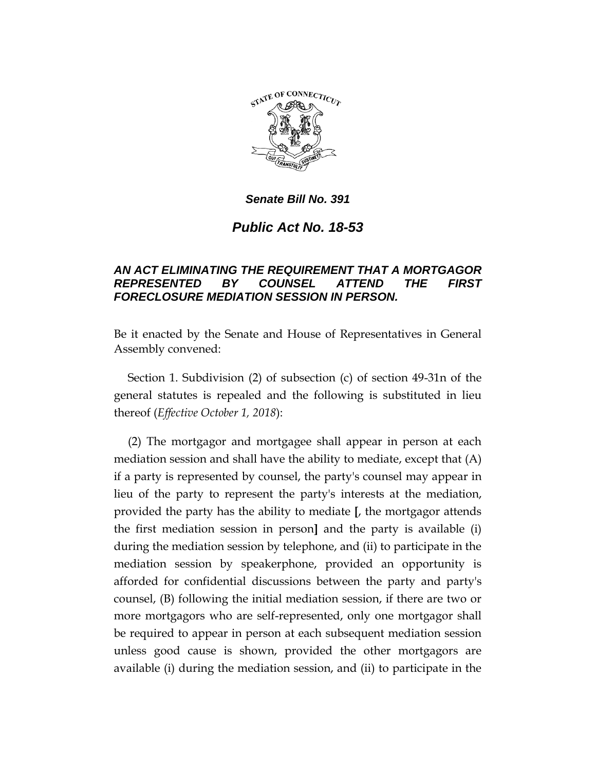

*Public Act No. 18-53*

## *AN ACT ELIMINATING THE REQUIREMENT THAT A MORTGAGOR REPRESENTED BY COUNSEL ATTEND THE FIRST FORECLOSURE MEDIATION SESSION IN PERSON.*

Be it enacted by the Senate and House of Representatives in General Assembly convened:

Section 1. Subdivision (2) of subsection (c) of section 49-31n of the general statutes is repealed and the following is substituted in lieu thereof (*Effective October 1, 2018*):

(2) The mortgagor and mortgagee shall appear in person at each mediation session and shall have the ability to mediate, except that (A) if a party is represented by counsel, the party's counsel may appear in lieu of the party to represent the party's interests at the mediation, provided the party has the ability to mediate **[**, the mortgagor attends the first mediation session in person**]** and the party is available (i) during the mediation session by telephone, and (ii) to participate in the mediation session by speakerphone, provided an opportunity is afforded for confidential discussions between the party and party's counsel, (B) following the initial mediation session, if there are two or more mortgagors who are self-represented, only one mortgagor shall be required to appear in person at each subsequent mediation session unless good cause is shown, provided the other mortgagors are available (i) during the mediation session, and (ii) to participate in the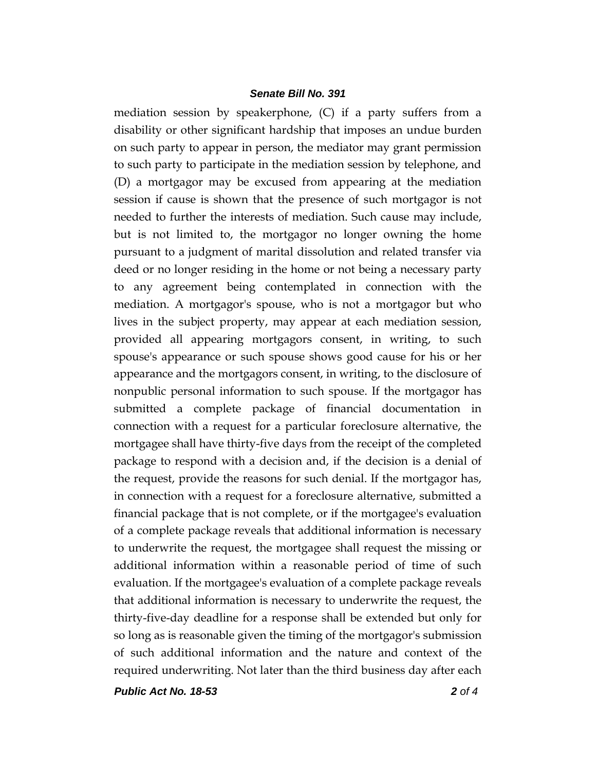mediation session by speakerphone, (C) if a party suffers from a disability or other significant hardship that imposes an undue burden on such party to appear in person, the mediator may grant permission to such party to participate in the mediation session by telephone, and (D) a mortgagor may be excused from appearing at the mediation session if cause is shown that the presence of such mortgagor is not needed to further the interests of mediation. Such cause may include, but is not limited to, the mortgagor no longer owning the home pursuant to a judgment of marital dissolution and related transfer via deed or no longer residing in the home or not being a necessary party to any agreement being contemplated in connection with the mediation. A mortgagor's spouse, who is not a mortgagor but who lives in the subject property, may appear at each mediation session, provided all appearing mortgagors consent, in writing, to such spouse's appearance or such spouse shows good cause for his or her appearance and the mortgagors consent, in writing, to the disclosure of nonpublic personal information to such spouse. If the mortgagor has submitted a complete package of financial documentation in connection with a request for a particular foreclosure alternative, the mortgagee shall have thirty-five days from the receipt of the completed package to respond with a decision and, if the decision is a denial of the request, provide the reasons for such denial. If the mortgagor has, in connection with a request for a foreclosure alternative, submitted a financial package that is not complete, or if the mortgagee's evaluation of a complete package reveals that additional information is necessary to underwrite the request, the mortgagee shall request the missing or additional information within a reasonable period of time of such evaluation. If the mortgagee's evaluation of a complete package reveals that additional information is necessary to underwrite the request, the thirty-five-day deadline for a response shall be extended but only for so long as is reasonable given the timing of the mortgagor's submission of such additional information and the nature and context of the required underwriting. Not later than the third business day after each

*Public Act No. 18-53 2 of 4*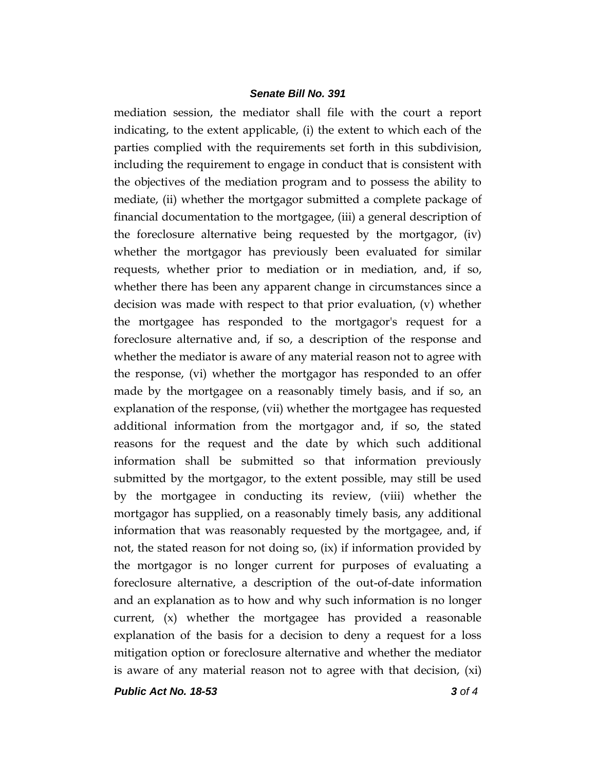mediation session, the mediator shall file with the court a report indicating, to the extent applicable, (i) the extent to which each of the parties complied with the requirements set forth in this subdivision, including the requirement to engage in conduct that is consistent with the objectives of the mediation program and to possess the ability to mediate, (ii) whether the mortgagor submitted a complete package of financial documentation to the mortgagee, (iii) a general description of the foreclosure alternative being requested by the mortgagor, (iv) whether the mortgagor has previously been evaluated for similar requests, whether prior to mediation or in mediation, and, if so, whether there has been any apparent change in circumstances since a decision was made with respect to that prior evaluation, (v) whether the mortgagee has responded to the mortgagor's request for a foreclosure alternative and, if so, a description of the response and whether the mediator is aware of any material reason not to agree with the response, (vi) whether the mortgagor has responded to an offer made by the mortgagee on a reasonably timely basis, and if so, an explanation of the response, (vii) whether the mortgagee has requested additional information from the mortgagor and, if so, the stated reasons for the request and the date by which such additional information shall be submitted so that information previously submitted by the mortgagor, to the extent possible, may still be used by the mortgagee in conducting its review, (viii) whether the mortgagor has supplied, on a reasonably timely basis, any additional information that was reasonably requested by the mortgagee, and, if not, the stated reason for not doing so, (ix) if information provided by the mortgagor is no longer current for purposes of evaluating a foreclosure alternative, a description of the out-of-date information and an explanation as to how and why such information is no longer current, (x) whether the mortgagee has provided a reasonable explanation of the basis for a decision to deny a request for a loss mitigation option or foreclosure alternative and whether the mediator is aware of any material reason not to agree with that decision,  $(xi)$ 

*Public Act No. 18-53 3 of 4*